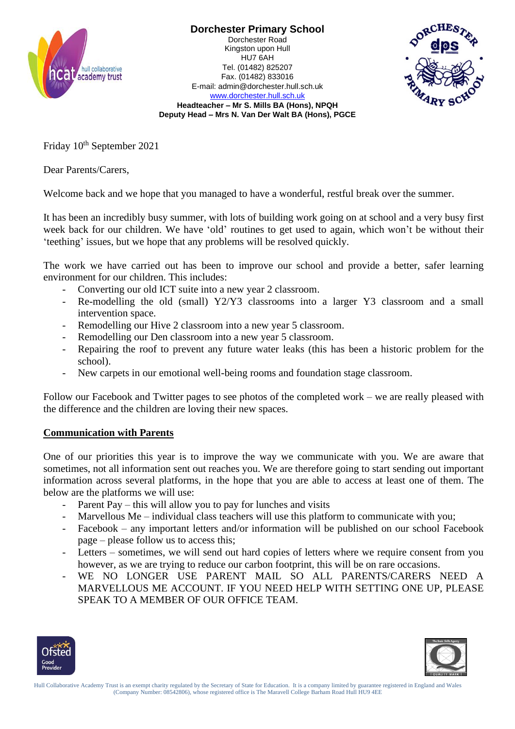

**Dorchester Primary School** Dorchester Road Kingston upon Hull HU7 6AH Tel. (01482) 825207 Fax. (01482) 833016 E-mail: admin@dorchester.hull.sch.uk



[www.dorchester.hull.sch.uk](http://www.dorchester.hull.sch.uk/) **Headteacher – Mr S. Mills BA (Hons), NPQH Deputy Head – Mrs N. Van Der Walt BA (Hons), PGCE**

Friday  $10^{th}$  September 2021

Dear Parents/Carers,

Welcome back and we hope that you managed to have a wonderful, restful break over the summer.

It has been an incredibly busy summer, with lots of building work going on at school and a very busy first week back for our children. We have 'old' routines to get used to again, which won't be without their 'teething' issues, but we hope that any problems will be resolved quickly.

The work we have carried out has been to improve our school and provide a better, safer learning environment for our children. This includes:

- Converting our old ICT suite into a new year 2 classroom.
- Re-modelling the old (small) Y2/Y3 classrooms into a larger Y3 classroom and a small intervention space.
- Remodelling our Hive 2 classroom into a new year 5 classroom.
- Remodelling our Den classroom into a new year 5 classroom.
- Repairing the roof to prevent any future water leaks (this has been a historic problem for the school).
- New carpets in our emotional well-being rooms and foundation stage classroom.

Follow our Facebook and Twitter pages to see photos of the completed work – we are really pleased with the difference and the children are loving their new spaces.

## **Communication with Parents**

One of our priorities this year is to improve the way we communicate with you. We are aware that sometimes, not all information sent out reaches you. We are therefore going to start sending out important information across several platforms, in the hope that you are able to access at least one of them. The below are the platforms we will use:

- Parent Pay this will allow you to pay for lunches and visits
- Marvellous Me individual class teachers will use this platform to communicate with you;
- Facebook any important letters and/or information will be published on our school Facebook page – please follow us to access this;
- Letters sometimes, we will send out hard copies of letters where we require consent from you however, as we are trying to reduce our carbon footprint, this will be on rare occasions.
- WE NO LONGER USE PARENT MAIL SO ALL PARENTS/CARERS NEED A MARVELLOUS ME ACCOUNT. IF YOU NEED HELP WITH SETTING ONE UP, PLEASE SPEAK TO A MEMBER OF OUR OFFICE TEAM.